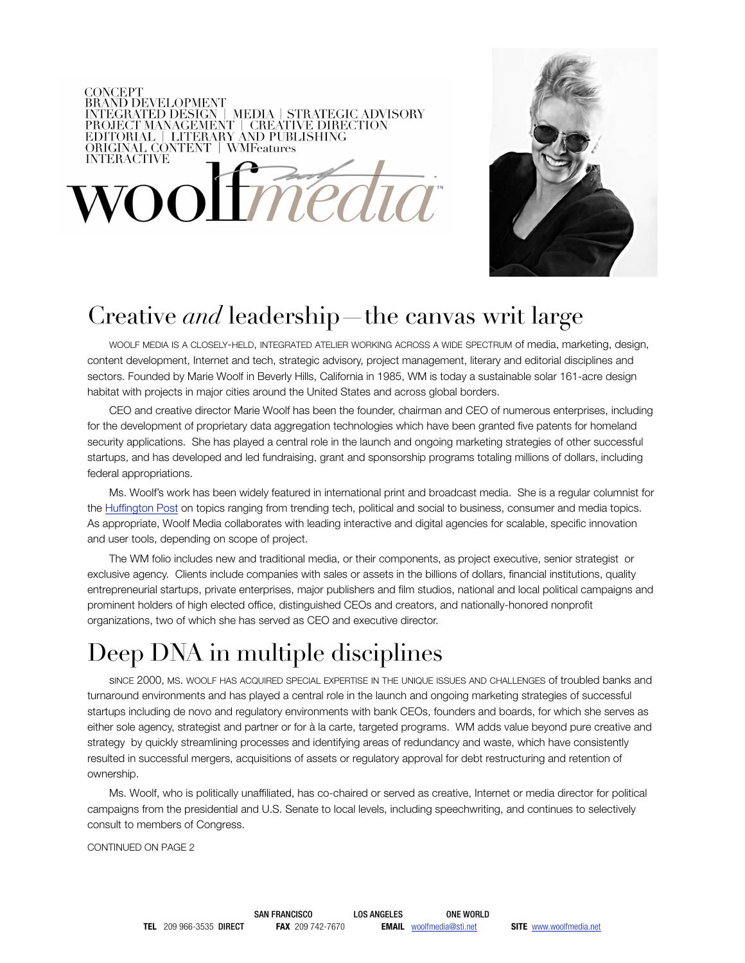### **CONCEPT** CONCEPT<br>BRAND DEVELOPMENT<br>INTEGRATED DESIGN | MEDIA | STRATEGIC ADVISORY<br>PROJECT MANAGEMANY | CREATIVE DIRECTION EDITORIAL | LITERARY AND PUBLISHING<br>ORIGINAL CONTENT | WMFeatures **INTERACTIVE** med  $\sqrt{O}$



## Creative *and* leadership—the canvas writ large

WOOLF MEDIA IS A CLOSELY-HELD, INTEGRATED ATELIER WORKING ACROSS A WIDE SPECTRUM of media, marketing, design, content development, Internet and tech, strategic advisory, project management, literary and editorial disciplines and sectors. Founded by Marie Woolf in Beverly Hills, California in 1985, WM is today a sustainable solar 161-acre design habitat with projects in major cities around the United States and across global borders.

CEO and creative director Marie Woolf has been the founder, chairman and CEO of numerous enterprises, including for the development of proprietary data aggregation technologies which have been granted five patents for homeland security applications. She has played a central role in the launch and ongoing marketing strategies of other successful startups, and has developed and led fundraising, grant and sponsorship programs totaling millions of dollars, including federal appropriations.

Ms. Woolf's work has been widely featured in international print and broadcast media. She is a regular columnist for the Huffington Post on topics ranging from trending tech, political and social to business, consumer and media topics. As appropriate, Woolf Media collaborates with leading interactive and digital agencies for scalable, specific innovation and user tools, depending on scope of project.

The WM folio includes new and traditional media, or their components, as project executive, senior strategist or exclusive agency. Clients include companies with sales or assets in the billions of dollars, financial institutions, quality entrepreneurial startups, private enterprises, major publishers and film studios, national and local political campaigns and prominent holders of high elected office, distinguished CEOs and creators, and nationally-honored nonprofit organizations, two of which she has served as CEO and executive director.

# Deep DNA in multiple disciplines

sINCE 2000, MS. WOOLF HAS ACQUIRED SPECIAL EXPERTISE IN THE UNIQUE ISSUES AND CHALLENGES of troubled banks and turnaround environments and has played a central role in the launch and ongoing marketing strategies of successful startups including de novo and regulatory environments with bank CEOs, founders and boards, for which she serves as either sole agency, strategist and partner or for à la carte, targeted programs. WM adds value beyond pure creative and strategy by quickly streamlining processes and identifying areas of redundancy and waste, which have consistently resulted in successful mergers, acquisitions of assets or regulatory approval for debt restructuring and retention of ownership.

Ms. Woolf, who is politically unaffiliated, has co-chaired or served as creative, Internet or media director for political campaigns from the presidential and U.S. Senate to local levels, including speechwriting, and continues to selectively consult to members of Congress.

CONTINUED ON PAGE 2